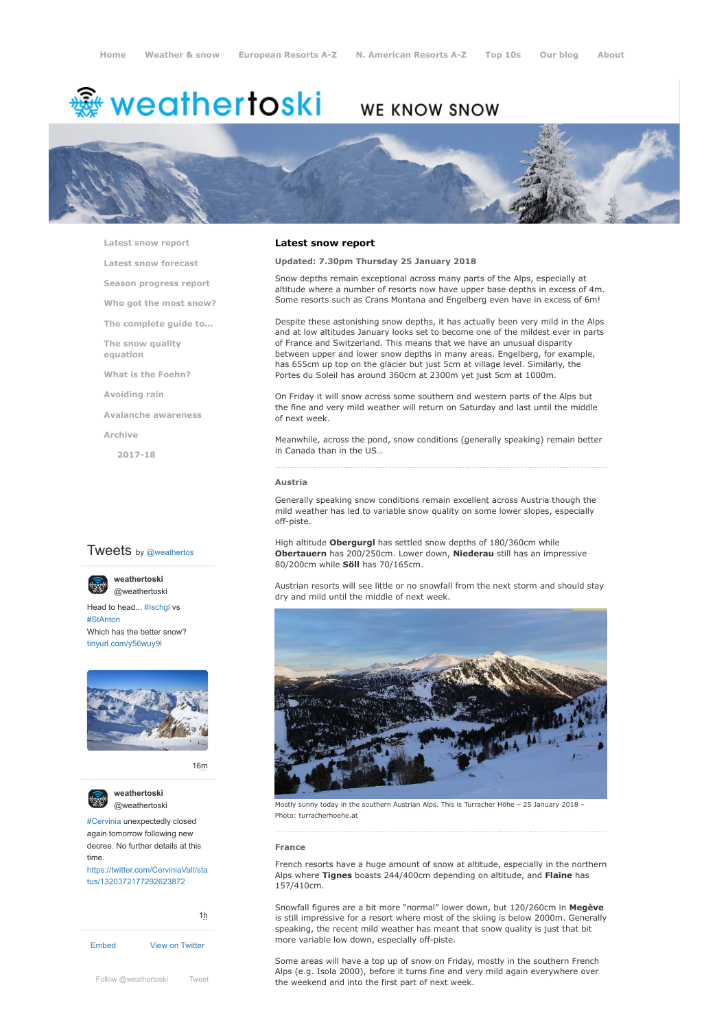# <del>▒</del> weathertoski

# WE KNOW SNOW



**[Latest snow report](https://www.weathertoski.co.uk/weather-snow/latest-snow-report/)**

**[Latest snow forecast](https://www.weathertoski.co.uk/weather-snow/latest-snow-forecast/)**

**[Season progress report](https://www.weathertoski.co.uk/weather-snow/season-progress-report/)**

**[Who got the most snow?](https://www.weathertoski.co.uk/weather-snow/who-got-the-most-snow/)**

**[The complete guide to...](https://www.weathertoski.co.uk/weather-snow/the-complete-guide-to/)**

**[The snow quality](https://www.weathertoski.co.uk/weather-snow/the-snow-quality-equation/)**

**[What is the Foehn?](https://www.weathertoski.co.uk/weather-snow/what-is-the-foehn/)**

**[Avoiding rain](https://www.weathertoski.co.uk/weather-snow/avoiding-rain/)**

**[Avalanche awareness](https://www.weathertoski.co.uk/weather-snow/avalanche-awareness/)**

**[Archive](https://www.weathertoski.co.uk/weather-snow/archive/)**

**equation**

**[2017-18](https://www.weathertoski.co.uk/weather-snow/archive/2017-18/)**

# **Tweets** by @weathertos

**weathertoski**



Head to head... [#Ischgl](https://twitter.com/hashtag/Ischgl?src=hash) vs [#StAnton](https://twitter.com/hashtag/StAnton?src=hash) Which has the better snow? [tinyurl.com/y56wuy9l](https://t.co/AeKkyB0N9S)



[16m](https://twitter.com/weathertoski/status/1320387692862050304)



**weathertoski**

[#Cervinia](https://twitter.com/hashtag/Cervinia?src=hash) unexpectedly closed again tomorrow following new decree. No further details at this time. [https://twitter.com/CerviniaValt/sta](https://twitter.com/CerviniaValt/status/1320372177292623872)

tus/1320372177292623872

[Embed](https://publish.twitter.com/?url=https%3A%2F%2Ftwitter.com%2Fweathertoski) [View on Twitter](https://twitter.com/weathertoski) [1h](https://twitter.com/weathertoski/status/1320376647305093126)

#### **Latest snow report**

# **Updated: 7.30pm Thursday 25 January 2018**

Snow depths remain exceptional across many parts of the Alps, especially at altitude where a number of resorts now have upper base depths in excess of 4m. Some resorts such as Crans Montana and Engelberg even have in excess of 6m!

Despite these astonishing snow depths, it has actually been very mild in the Alps and at low altitudes January looks set to become one of the mildest ever in parts of France and Switzerland. This means that we have an unusual disparity between upper and lower snow depths in many areas. Engelberg, for example, has 655cm up top on the glacier but just 5cm at village level. Similarly, the Portes du Soleil has around 360cm at 2300m yet just 5cm at 1000m.

On Friday it will snow across some southern and western parts of the Alps but the fine and very mild weather will return on Saturday and last until the middle of next week.

Meanwhile, across the pond, snow conditions (generally speaking) remain better in Canada than in the US…

#### **Austria**

Generally speaking snow conditions remain excellent across Austria though the mild weather has led to variable snow quality on some lower slopes, especially off-piste.

High altitude **Obergurgl** has settled snow depths of 180/360cm while **Obertauern** has 200/250cm. Lower down, **Niederau** still has an impressive 80/200cm while **Söll** has 70/165cm.

Austrian resorts will see little or no snowfall from the next storm and should stay dry and mild until the middle of next week.



[@weathertoski](https://twitter.com/weathertoski) Mostly sunny today in the southern Austrian Alps. This is Turracher Höhe – 25 January 2018 – Photo: turracherhoehe.at

#### **France**

French resorts have a huge amount of snow at altitude, especially in the northern Alps where **Tignes** boasts 244/400cm depending on altitude, and **Flaine** has 157/410cm.

Snowfall figures are a bit more "normal" lower down, but 120/260cm in **Megève** is still impressive for a resort where most of the skiing is below 2000m. Generally speaking, the recent mild weather has meant that snow quality is just that bit more variable low down, especially off-piste.

Some areas will have a top up of snow on Friday, mostly in the southern French Alps (e.g. Isola 2000), before it turns fine and very mild again everywhere over [Follow @weathertoski](https://twitter.com/intent/follow?original_referer=https%3A%2F%2Fwww.weathertoski.co.uk%2F&ref_src=twsrc%5Etfw®ion=follow_link&screen_name=weathertoski&tw_p=followbutton) [Tweet](https://twitter.com/intent/tweet?original_referer=https%3A%2F%2Fwww.weathertoski.co.uk%2F&ref_src=twsrc%5Etfw&text=Weather%20to%20ski%20-%20Snow%20report%20-%2025%20January%202018&tw_p=tweetbutton&url=https%3A%2F%2Fwww.weathertoski.co.uk%2Fweather-snow%2Farchive%2Fsnow-report-25-january-2018%2F) the weekend and into the first part of next week.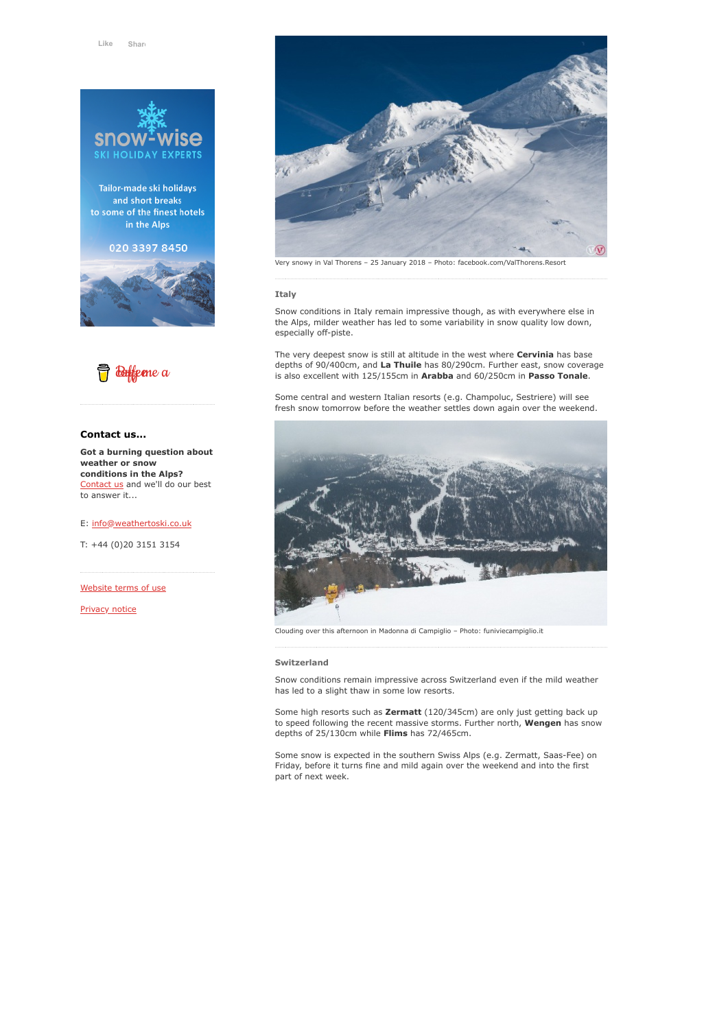

Tailor-made ski holidays and short breaks to some of the finest hotels in the Alps

020 3397 8450





### **Contact us...**

**Got a burning question about weather or snow conditions in the Alps?** [Contact us](https://www.weathertoski.co.uk/about-1/contact-us/) and we'll do our best to answer it...

E: [info@weathertoski.co.uk](mailto:fraser@weathertoski.co.uk)

T: +44 (0)20 3151 3154

[Website terms of use](https://www.weathertoski.co.uk/about-1/website-terms-of-use/)

[Privacy notice](https://www.weathertoski.co.uk/about-1/privacy-notice/)



Very snowy in Val Thorens – 25 January 2018 – Photo: facebook.com/ValThorens.Resort

#### **Italy**

Snow conditions in Italy remain impressive though, as with everywhere else in the Alps, milder weather has led to some variability in snow quality low down, especially off-piste.

The very deepest snow is still at altitude in the west where **Cervinia** has base depths of 90/400cm, and **La Thuile** has 80/290cm. Further east, snow coverage is also excellent with 125/155cm in **Arabba** and 60/250cm in **Passo Tonale**.

Some central and western Italian resorts (e.g. Champoluc, Sestriere) will see fresh snow tomorrow before the weather settles down again over the weekend.



Clouding over this afternoon in Madonna di Campiglio – Photo: funiviecampiglio.it 

#### **Switzerland**

Snow conditions remain impressive across Switzerland even if the mild weather has led to a slight thaw in some low resorts.

Some high resorts such as **Zermatt** (120/345cm) are only just getting back up to speed following the recent massive storms. Further north, **Wengen** has snow depths of 25/130cm while **Flims** has 72/465cm.

Some snow is expected in the southern Swiss Alps (e.g. Zermatt, Saas-Fee) on Friday, before it turns fine and mild again over the weekend and into the first part of next week.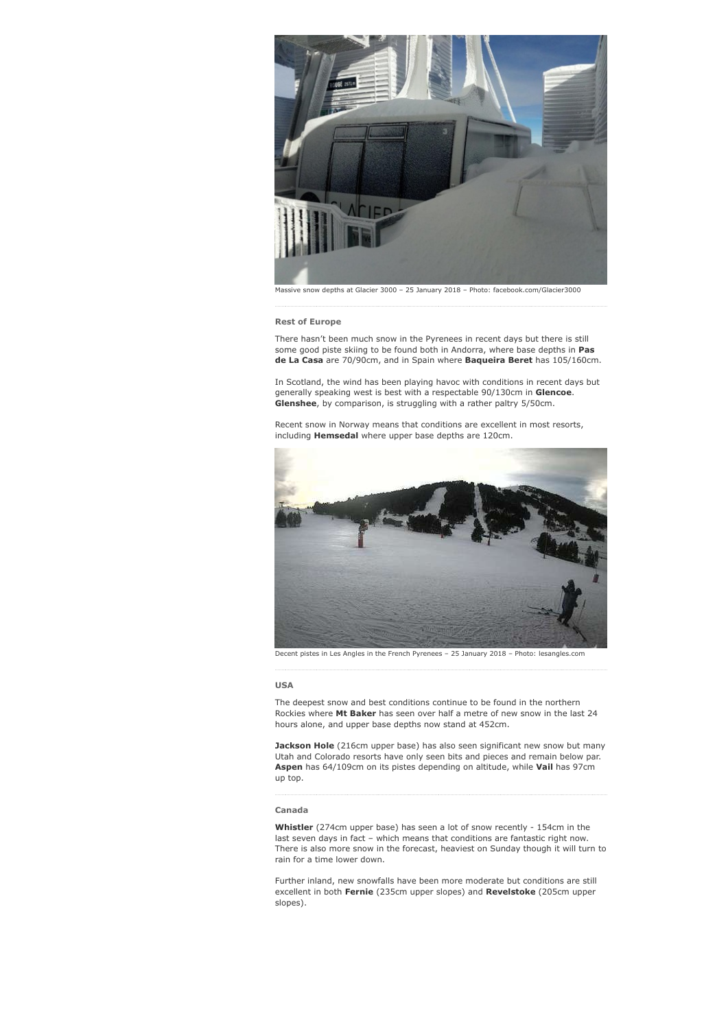

Massive snow depths at Glacier 3000 – 25 January 2018 – Photo: facebook.com/Glacier3000

#### **Rest of Europe**

There hasn't been much snow in the Pyrenees in recent days but there is still some good piste skiing to be found both in Andorra, where base depths in **Pas de La Casa** are 70/90cm, and in Spain where **Baqueira Beret** has 105/160cm.

In Scotland, the wind has been playing havoc with conditions in recent days but generally speaking west is best with a respectable 90/130cm in **Glencoe**. **Glenshee**, by comparison, is struggling with a rather paltry 5/50cm.

Recent snow in Norway means that conditions are excellent in most resorts, including **Hemsedal** where upper base depths are 120cm.



Decent pistes in Les Angles in the French Pyrenees – 25 January 2018 – Photo: lesangles.com

#### **USA**

The deepest snow and best conditions continue to be found in the northern Rockies where **Mt Baker** has seen over half a metre of new snow in the last 24 hours alone, and upper base depths now stand at 452cm.

Jackson Hole (216cm upper base) has also seen significant new snow but many Utah and Colorado resorts have only seen bits and pieces and remain below par. **Aspen** has 64/109cm on its pistes depending on altitude, while **Vail** has 97cm up top.

# **Canada**

**Whistler** (274cm upper base) has seen a lot of snow recently - 154cm in the last seven days in fact – which means that conditions are fantastic right now. There is also more snow in the forecast, heaviest on Sunday though it will turn to rain for a time lower down.

Further inland, new snowfalls have been more moderate but conditions are still excellent in both **Fernie** (235cm upper slopes) and **Revelstoke** (205cm upper slopes).